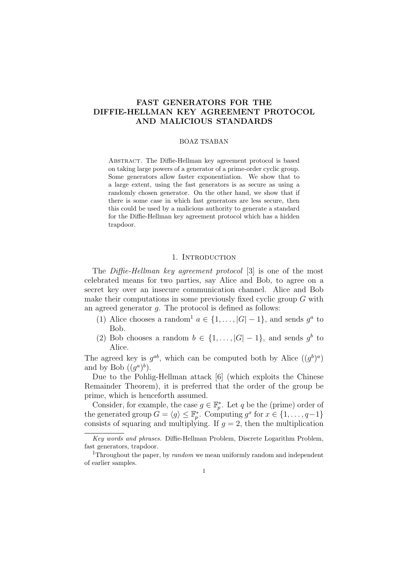# FAST GENERATORS FOR THE DIFFIE-HELLMAN KEY AGREEMENT PROTOCOL AND MALICIOUS STANDARDS

#### BOAZ TSABAN

ABSTRACT. The Diffie-Hellman key agreement protocol is based on taking large powers of a generator of a prime-order cyclic group. Some generators allow faster exponentiation. We show that to a large extent, using the fast generators is as secure as using a randomly chosen generator. On the other hand, we show that if there is some case in which fast generators are less secure, then this could be used by a malicious authority to generate a standard for the Diffie-Hellman key agreement protocol which has a hidden trapdoor.

#### 1. INTRODUCTION

The Diffie-Hellman key agreement protocol [3] is one of the most celebrated means for two parties, say Alice and Bob, to agree on a secret key over an insecure communication channel. Alice and Bob make their computations in some previously fixed cyclic group G with an agreed generator g. The protocol is defined as follows:

- (1) Alice chooses a random<sup>1</sup>  $a \in \{1, \ldots, |G|-1\}$ , and sends  $g^a$  to Bob.
- (2) Bob chooses a random  $b \in \{1, ..., |G|-1\}$ , and sends  $g^b$  to Alice.

The agreed key is  $g^{ab}$ , which can be computed both by Alice  $((g^b)^a)$ and by Bob  $((g^a)^b)$ .

Due to the Pohlig-Hellman attack [6] (which exploits the Chinese Remainder Theorem), it is preferred that the order of the group be prime, which is henceforth assumed.

Consider, for example, the case  $g \in \mathbb{F}_p^*$ . Let q be the (prime) order of the generated group  $G = \langle g \rangle \leq \mathbb{F}_p^*$ . Computing  $g^x$  for  $x \in \{1, \ldots, q-1\}$ consists of squaring and multiplying. If  $g = 2$ , then the multiplication

Key words and phrases. Diffie-Hellman Problem, Discrete Logarithm Problem, fast generators, trapdoor.

<sup>&</sup>lt;sup>1</sup>Throughout the paper, by *random* we mean uniformly random and independent of earlier samples.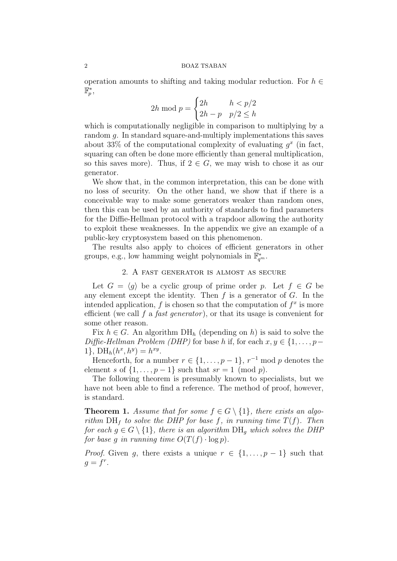#### 2 BOAZ TSABAN

operation amounts to shifting and taking modular reduction. For  $h \in$  $\bar{\mathbb{F}}_p^*$  ,

$$
2h \bmod p = \begin{cases} 2h & h < p/2 \\ 2h - p & p/2 \le h \end{cases}
$$

which is computationally negligible in comparison to multiplying by a random g. In standard square-and-multiply implementations this saves about 33% of the computational complexity of evaluating  $g^x$  (in fact, squaring can often be done more efficiently than general multiplication, so this saves more). Thus, if  $2 \in G$ , we may wish to chose it as our generator.

We show that, in the common interpretation, this can be done with no loss of security. On the other hand, we show that if there is a conceivable way to make some generators weaker than random ones, then this can be used by an authority of standards to find parameters for the Diffie-Hellman protocol with a trapdoor allowing the authority to exploit these weaknesses. In the appendix we give an example of a public-key cryptosystem based on this phenomenon.

The results also apply to choices of efficient generators in other groups, e.g., low hamming weight polynomials in  $\mathbb{F}_{q^m}^*$ .

## 2. A fast generator is almost as secure

Let  $G = \langle g \rangle$  be a cyclic group of prime order p. Let  $f \in G$  be any element except the identity. Then  $f$  is a generator of  $G$ . In the intended application,  $f$  is chosen so that the computation of  $f^x$  is more efficient (we call f a *fast generator*), or that its usage is convenient for some other reason.

Fix  $h \in G$ . An algorithm  $DH_h$  (depending on h) is said to solve the Diffie-Hellman Problem (DHP) for base h if, for each  $x, y \in \{1, \ldots, p-\}$ 1},  $DH_h(h^x, h^y) = h^{xy}$ .

Henceforth, for a number  $r \in \{1, \ldots, p-1\}$ ,  $r^{-1}$  mod p denotes the element s of  $\{1, \ldots, p-1\}$  such that  $sr = 1 \pmod{p}$ .

The following theorem is presumably known to specialists, but we have not been able to find a reference. The method of proof, however, is standard.

**Theorem 1.** Assume that for some  $f \in G \setminus \{1\}$ , there exists an algorithm  $DH_f$  to solve the DHP for base f, in running time  $T(f)$ . Then for each  $g \in G \setminus \{1\}$ , there is an algorithm  $DH_q$  which solves the DHP for base g in running time  $O(T(f) \cdot \log p)$ .

*Proof.* Given g, there exists a unique  $r \in \{1, \ldots, p-1\}$  such that  $g = f^r$ .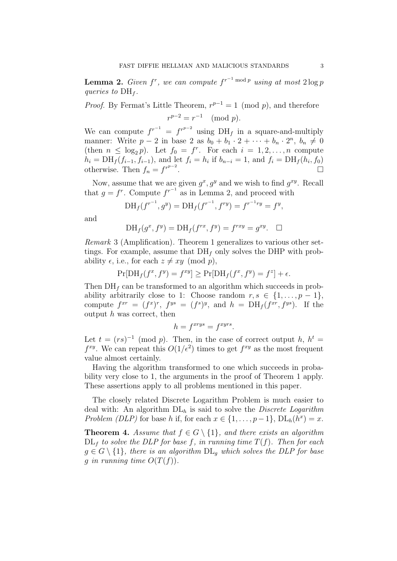**Lemma 2.** Given  $f^r$ , we can compute  $f^{r-1 \text{ mod } p}$  using at most  $2 \log p$ queries to  $DH_f$ .

*Proof.* By Fermat's Little Theorem,  $r^{p-1} = 1 \pmod{p}$ , and therefore  $r^{p-2} = r^{-1} \pmod{p}.$ 

We can compute  $f^{r^{-1}} = f^{r^{p-2}}$  using DH<sub>f</sub> in a square-and-multiply manner: Write  $p-2$  in base 2 as  $b_0 + b_1 \cdot 2 + \cdots + b_n \cdot 2^n$ ,  $b_n \neq 0$ (then  $n \leq \log_2 p$ ). Let  $f_0 = f^r$ . For each  $i = 1, 2, ..., n$  compute  $h_i = \text{DH}_f(f_{i-1}, f_{i-1}),$  and let  $f_i = h_i$  if  $b_{n-i} = 1$ , and  $f_i = \text{DH}_f(h_i, f_0)$ otherwise. Then  $f_n = f^{r^{p-2}}$ . В последните поставите на селото на селото на селото на селото на селото на селото на селото на селото на се<br>В селото на селото на селото на селото на селото на селото на селото на селото на селото на селото на селото н

Now, assume that we are given  $g^x, g^y$  and we wish to find  $g^{xy}$ . Recall that  $g = f^r$ . Compute  $f^{r-1}$  as in Lemma 2, and proceed with

$$
DH_f(f^{r^{-1}}, g^y) = DH_f(f^{r^{-1}}, f^{ry}) = f^{r^{-1}ry} = f^y,
$$

and

$$
\mathrm{DH}_f(g^x, f^y) = \mathrm{DH}_f(f^{rx}, f^y) = f^{rxy} = g^{xy}. \quad \Box
$$

Remark 3 (Amplification). Theorem 1 generalizes to various other settings. For example, assume that  $DH_f$  only solves the DHP with probability  $\epsilon$ , i.e., for each  $z \neq xy \pmod{p}$ ,

$$
\Pr[\text{DH}_f(f^x, f^y) = f^{xy}] \ge \Pr[\text{DH}_f(f^x, f^y) = f^z] + \epsilon.
$$

Then  $DH<sub>f</sub>$  can be transformed to an algorithm which succeeds in probability arbitrarily close to 1: Choose random  $r, s \in \{1, \ldots, p-1\},\$ compute  $f^{xr} = (f^x)^r$ ,  $f^{ys} = (f^s)^y$ , and  $h = DH_f(f^{xr}, f^{ys})$ . If the output  $h$  was correct, then

$$
h = f^{xrys} = f^{xyrs}.
$$

Let  $t = (rs)^{-1} \pmod{p}$ . Then, in the case of correct output h,  $h^t =$  $f^{xy}$ . We can repeat this  $O(1/\epsilon^2)$  times to get  $f^{xy}$  as the most frequent value almost certainly.

Having the algorithm transformed to one which succeeds in probability very close to 1, the arguments in the proof of Theorem 1 apply. These assertions apply to all problems mentioned in this paper.

The closely related Discrete Logarithm Problem is much easier to deal with: An algorithm  $DL<sub>h</sub>$  is said to solve the *Discrete Logarithm* Problem (DLP) for base h if, for each  $x \in \{1, \ldots, p-1\}$ ,  $DL_h(h^x) = x$ .

**Theorem 4.** Assume that  $f \in G \setminus \{1\}$ , and there exists an algorithm  $DL<sub>f</sub>$  to solve the DLP for base f, in running time  $T(f)$ . Then for each  $g \in G \setminus \{1\}$ , there is an algorithm  $\text{DL}_g$  which solves the DLP for base q in running time  $O(T(f))$ .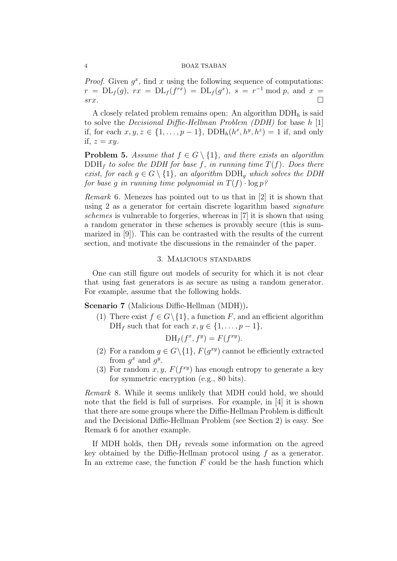*Proof.* Given  $g^x$ , find x using the following sequence of computations:  $r = DL_f(g), rx = DL_f(f^{rx}) = DL_f(g^x), s = r^{-1} \bmod p, \text{ and } x =$  $srx.$ 

A closely related problem remains open: An algorithm  $DDH<sub>h</sub>$  is said to solve the Decisional Diffie-Hellman Problem (DDH) for base h [1] if, for each  $x, y, z \in \{1, ..., p-1\}$ ,  $DDH_h(h^x, h^y, h^z) = 1$  if, and only if,  $z = xy$ .

**Problem 5.** Assume that  $f \in G \setminus \{1\}$ , and there exists an algorithm  $\text{DDH}_f$  to solve the DDH for base f, in running time  $T(f)$ . Does there exist, for each  $g \in G \setminus \{1\}$ , an algorithm  $\text{DDH}_q$  which solves the DDH for base q in running time polynomial in  $T(f) \cdot \log p$ ?

Remark 6. Menezes has pointed out to us that in [2] it is shown that using 2 as a generator for certain discrete logarithm based signature schemes is vulnerable to forgeries, whereas in [7] it is shown that using a random generator in these schemes is provably secure (this is summarized in [9]). This can be contrasted with the results of the current section, and motivate the discussions in the remainder of the paper.

#### 3. Malicious standards

One can still figure out models of security for which it is not clear that using fast generators is as secure as using a random generator. For example, assume that the following holds.

Scenario 7 (Malicious Diffie-Hellman (MDH)).

(1) There exist  $f \in G \setminus \{1\}$ , a function F, and an efficient algorithm DH<sub>f</sub> such that for each  $x, y \in \{1, ..., p-1\}$ ,

$$
\mathrm{DH}_f(f^x, f^y) = F(f^{xy}).
$$

- (2) For a random  $g \in G \setminus \{1\}$ ,  $F(g^{xy})$  cannot be efficiently extracted from  $g^x$  and  $g^y$ .
- (3) For random  $x, y, F(f^{xy})$  has enough entropy to generate a key for symmetric encryption (e.g., 80 bits).

Remark 8. While it seems unlikely that MDH could hold, we should note that the field is full of surprises. For example, in [4] it is shown that there are some groups where the Diffie-Hellman Problem is difficult and the Decisional Diffie-Hellman Problem (see Section 2) is easy. See Remark 6 for another example.

If MDH holds, then  $DH_f$  reveals some information on the agreed key obtained by the Diffie-Hellman protocol using  $f$  as a generator. In an extreme case, the function  $F$  could be the hash function which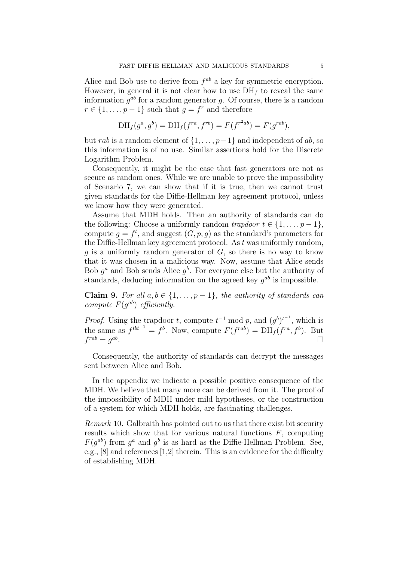Alice and Bob use to derive from  $f^{ab}$  a key for symmetric encryption. However, in general it is not clear how to use  $DH<sub>f</sub>$  to reveal the same information  $g^{ab}$  for a random generator g. Of course, there is a random  $r \in \{1, \ldots, p-1\}$  such that  $g = f^r$  and therefore

$$
DH_f(g^a, g^b) = DH_f(f^{ra}, f^{rb}) = F(f^{r^2ab}) = F(g^{rab}),
$$

but rab is a random element of  $\{1, \ldots, p-1\}$  and independent of ab, so this information is of no use. Similar assertions hold for the Discrete Logarithm Problem.

Consequently, it might be the case that fast generators are not as secure as random ones. While we are unable to prove the impossibility of Scenario 7, we can show that if it is true, then we cannot trust given standards for the Diffie-Hellman key agreement protocol, unless we know how they were generated.

Assume that MDH holds. Then an authority of standards can do the following: Choose a uniformly random trapdoor  $t \in \{1, \ldots, p-1\},\$ compute  $g = f^t$ , and suggest  $(G, p, g)$  as the standard's parameters for the Diffie-Hellman key agreement protocol. As  $t$  was uniformly random, q is a uniformly random generator of  $G$ , so there is no way to know that it was chosen in a malicious way. Now, assume that Alice sends Bob  $g^a$  and Bob sends Alice  $g^b$ . For everyone else but the authority of standards, deducing information on the agreed key  $g^{ab}$  is impossible.

Claim 9. For all  $a, b \in \{1, \ldots, p-1\}$ , the authority of standards can compute  $F(g^{ab})$  efficiently.

*Proof.* Using the trapdoor t, compute  $t^{-1}$  mod p, and  $(g^b)^{t^{-1}}$ , which is the same as  $f^{tbt^{-1}} = f^b$ . Now, compute  $F(f^{rab}) = DH_f(f^{ra}, f^b)$ . But  $f^{rab} = g^{ab}$ .

Consequently, the authority of standards can decrypt the messages sent between Alice and Bob.

In the appendix we indicate a possible positive consequence of the MDH. We believe that many more can be derived from it. The proof of the impossibility of MDH under mild hypotheses, or the construction of a system for which MDH holds, are fascinating challenges.

Remark 10. Galbraith has pointed out to us that there exist bit security results which show that for various natural functions  $F$ , computing  $F(g^{ab})$  from  $g^a$  and  $g^b$  is as hard as the Diffie-Hellman Problem. See, e.g., [8] and references [1,2] therein. This is an evidence for the difficulty of establishing MDH.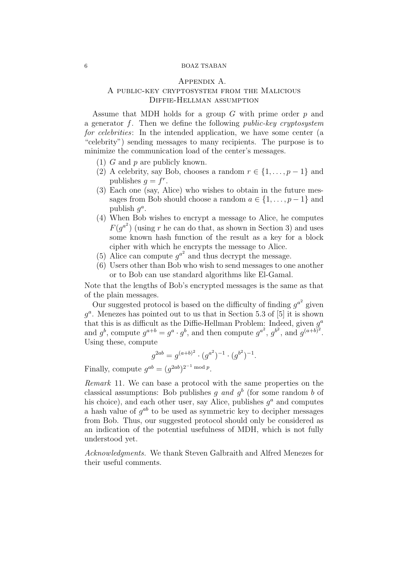## 6 BOAZ TSABAN

## Appendix A.

# A public-key cryptosystem from the Malicious Diffie-Hellman assumption

Assume that MDH holds for a group  $G$  with prime order  $p$  and a generator  $f$ . Then we define the following *public-key cryptosystem* for celebrities: In the intended application, we have some center (a "celebrity") sending messages to many recipients. The purpose is to minimize the communication load of the center's messages.

- (1) G and p are publicly known.
- (2) A celebrity, say Bob, chooses a random  $r \in \{1, \ldots, p-1\}$  and publishes  $g = f^r$ .
- (3) Each one (say, Alice) who wishes to obtain in the future messages from Bob should choose a random  $a \in \{1, \ldots, p-1\}$  and publish  $g^a$ .
- (4) When Bob wishes to encrypt a message to Alice, he computes  $F(g^{a^2})$  (using r he can do that, as shown in Section 3) and uses some known hash function of the result as a key for a block cipher with which he encrypts the message to Alice.
- (5) Alice can compute  $g^{a^2}$  and thus decrypt the message.
- (6) Users other than Bob who wish to send messages to one another or to Bob can use standard algorithms like El-Gamal.

Note that the lengths of Bob's encrypted messages is the same as that of the plain messages.

Our suggested protocol is based on the difficulty of finding  $g^{a^2}$  given  $g<sup>a</sup>$ . Menezes has pointed out to us that in Section 5.3 of [5] it is shown that this is as difficult as the Diffie-Hellman Problem: Indeed, given  $g^a$ and  $g^b$ , compute  $g^{a+b} = g^a \cdot g^b$ , and then compute  $g^{a^2}$ ,  $g^{b^2}$ , and  $g^{(a+b)^2}$ . Using these, compute

$$
g^{2ab} = g^{(a+b)^2} \cdot (g^{a^2})^{-1} \cdot (g^{b^2})^{-1}.
$$

Finally, compute  $g^{ab} = (g^{2ab})^{2^{-1} \bmod p}$ .

Remark 11. We can base a protocol with the same properties on the classical assumptions: Bob publishes g and  $g<sup>b</sup>$  (for some random b of his choice), and each other user, say Alice, publishes  $g<sup>a</sup>$  and computes a hash value of  $g^{ab}$  to be used as symmetric key to decipher messages from Bob. Thus, our suggested protocol should only be considered as an indication of the potential usefulness of MDH, which is not fully understood yet.

Acknowledgments. We thank Steven Galbraith and Alfred Menezes for their useful comments.